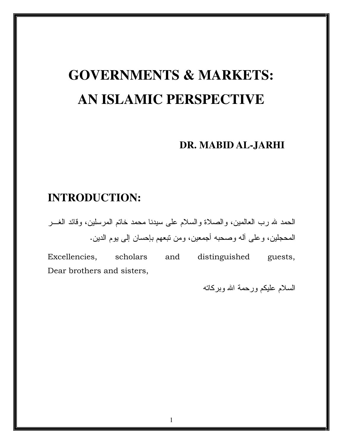# **GOVERNMENTS & MARKETS: AN ISLAMIC PERSPECTIVE**

### **DR. MABID AL-JARHI**

### **INTRODUCTION:**

الحمد لله رب العالمين، والصلاة والسلام على سيدنا محمد خانم المرسلين، وقائد الغـــر المحجلين، وعلى أله وصحبه أجمعين، ومن نبعهم بإحسان إلى يوم الدين.

Excellencies, scholars and distinguished guests, Dear brothers and sisters,

السلام عليكم ورحمة الله وبركاته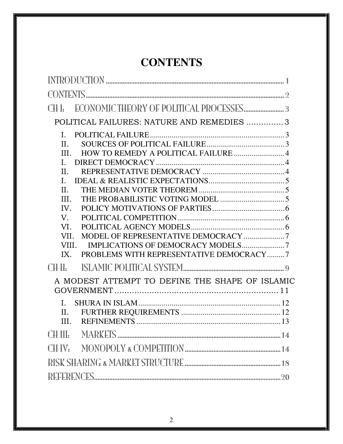# **CONTENTS**

| POLITICAL FAILURES: NATURE AND REMEDIES 3                                                                                                                                  |
|----------------------------------------------------------------------------------------------------------------------------------------------------------------------------|
| II.<br>III.<br>L<br>II.<br>L.<br>II.<br>III.<br>IV.<br>V.<br>VI.<br>MODEL OF REPRESENTATIVE DEMOCRACY 7<br>VII.<br>VIII.<br>PROBLEMS WITH REPRESENTATIVE DEMOCRACY7<br>IX. |
| $\Gamma$ $\parallel$ $\parallel$                                                                                                                                           |
| A MODEST ATTEMPT TO DEFINE THE SHAPE OF ISLAMIC                                                                                                                            |
| Η.<br>III.                                                                                                                                                                 |
| CH III:                                                                                                                                                                    |
|                                                                                                                                                                            |
|                                                                                                                                                                            |
|                                                                                                                                                                            |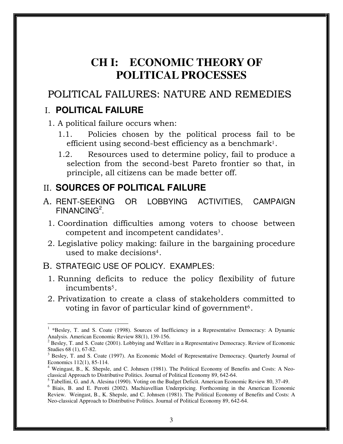# **CH I: ECONOMIC THEORY OF POLITICAL PROCESSES**

### POLITICAL FAILURES: NATURE AND REMEDIES

### I. **POLITICAL FAILURE**

 $\overline{a}$ 

1. A political failure occurs when:

- 1.1. Policies chosen by the political process fail to be efficient using second-best efficiency as a benchmark $^{\text{l}}$ .
- 1.2. Resources used to determine policy, fail to produce a selection from the second-best Pareto frontier so that, in principle, all citizens can be made better off.

### II. **SOURCES OF POLITICAL FAILURE**

- A. RENT-SEEKING OR LOBBYING ACTIVITIES, CAMPAIGN FINANCING<sup>2</sup>.
	- 1. Coordination difficulties among voters to choose between competent and incompetent candidates $^3$ .
	- 2. Legislative policy making: failure in the bargaining procedure used to make decisions<sup>4</sup> .

#### B. STRATEGIC USE OF POLICY. EXAMPLES:

- 1. Running deficits to reduce the policy flexibility of future incumbents<sup>5</sup> .
- 2. Privatization to create a class of stakeholders committed to voting in favor of particular kind of government $\rm ^6.$

<sup>&</sup>lt;sup>1</sup> \*Besley, T. and S. Coate (1998). Sources of Inefficiency in a Representative Democracy: A Dynamic Analysis. American Economic Review 88(1), 139-156.

 $2^{2}$  Besley, T. and S. Coate (2001). Lobbying and Welfare in a Representative Democracy. Review of Economic Studies 68 (1), 67-82.

<sup>3</sup> Besley, T. and S. Coate (1997). An Economic Model of Representative Democracy. Quarterly Journal of Economics 112(1), 85-114.

<sup>&</sup>lt;sup>4</sup> Weingast, B., K. Shepsle, and C. Johnsen (1981). The Political Economy of Benefits and Costs: A Neoclassical Approach to Distributive Politics. Journal of Political Economy 89, 642-64.

<sup>&</sup>lt;sup>5</sup> Tabellini, G. and A. Alesina (1990). Voting on the Budget Deficit. American Economic Review 80, 37-49.

<sup>6</sup> Biais, B. and E. Perotti (2002). Machiavellian Underpricing. Forthcoming in the American Economic Review. Weingast, B., K. Shepsle, and C. Johnsen (1981). The Political Economy of Benefits and Costs: A Neo-classical Approach to Distributive Politics. Journal of Political Economy 89, 642-64.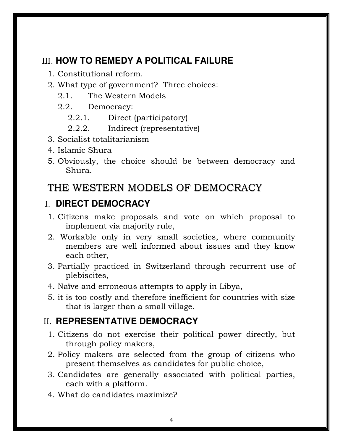### III. **HOW TO REMEDY A POLITICAL FAILURE**

- 1. Constitutional reform.
- 2. What type of government? Three choices:
	- 2.1. The Western Models
	- 2.2. Democracy:
		- 2.2.1. Direct (participatory)
		- 2.2.2. Indirect (representative)
- 3. Socialist totalitarianism
- 4. Islamic Shura
- 5. Obviously, the choice should be between democracy and Shura.

### THE WESTERN MODELS OF DEMOCRACY

### I. **DIRECT DEMOCRACY**

- 1. Citizens make proposals and vote on which proposal to implement via majority rule,
- 2. Workable only in very small societies, where community members are well informed about issues and they know each other,
- 3. Partially practiced in Switzerland through recurrent use of plebiscites,
- 4. Naïve and erroneous attempts to apply in Libya,
- 5. it is too costly and therefore inefficient for countries with size that is larger than a small village.

### II. **REPRESENTATIVE DEMOCRACY**

- 1. Citizens do not exercise their political power directly, but through policy makers,
- 2. Policy makers are selected from the group of citizens who present themselves as candidates for public choice,
- 3. Candidates are generally associated with political parties, each with a platform.
- 4. What do candidates maximize?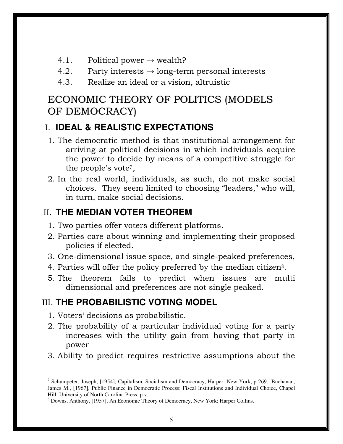- 4.1. Political power  $\rightarrow$  wealth?
- 4.2. Party interests  $\rightarrow$  long-term personal interests
- 4.3. Realize an ideal or a vision, altruistic

### ECONOMIC THEORY OF POLITICS (MODELS OF DEMOCRACY)

### I. **IDEAL & REALISTIC EXPECTATIONS**

- 1. The democratic method is that institutional arrangement for arriving at political decisions in which individuals acquire the power to decide by means of a competitive struggle for the people's vote<sup>7</sup> ,
- 2. In the real world, individuals, as such, do not make social choices. They seem limited to choosing "leaders," who will, in turn, make social decisions.

### II. **THE MEDIAN VOTER THEOREM**

- 1. Two parties offer voters different platforms.
- 2. Parties care about winning and implementing their proposed policies if elected.
- 3. One-dimensional issue space, and single-peaked preferences,
- 4. Parties will offer the policy preferred by the median citizen<sup>8</sup>.
- 5. The theorem fails to predict when issues are multi dimensional and preferences are not single peaked.

### III. **THE PROBABILISTIC VOTING MODEL**

- 1. Voters' decisions as probabilistic.
- 2. The probability of a particular individual voting for a party increases with the utility gain from having that party in power
- 3. Ability to predict requires restrictive assumptions about the

 $\overline{a}$ <sup>7</sup> Schumpeter, Joseph, [1954], Capitalism, Socialism and Democracy, Harper: New York, p 269. Buchanan, James M., [1967], Public Finance in Democratic Process: Fiscal Institutions and Individual Choice, Chapel Hill: University of North Carolina Press, p v.

<sup>8</sup> Downs, Anthony, [1957], An Economic Theory of Democracy, New York: Harper Collins.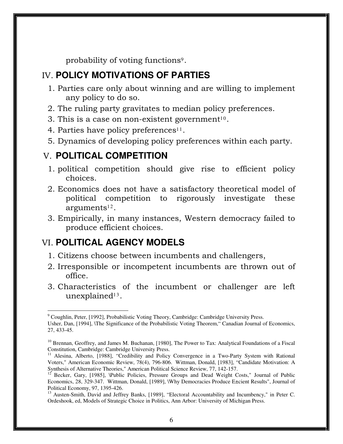probability of voting functions<sup>9</sup>.

### IV. **POLICY MOTIVATIONS OF PARTIES**

- 1. Parties care only about winning and are willing to implement any policy to do so.
- 2. The ruling party gravitates to median policy preferences.
- 3. This is a case on non-existent government $10$ .
- 4. Parties have policy preferences<sup>11</sup>.
- 5. Dynamics of developing policy preferences within each party.

### V. **POLITICAL COMPETITION**

- 1. political competition should give rise to efficient policy choices.
- 2. Economics does not have a satisfactory theoretical model of political competition to rigorously investigate these arguments $^{12}$ .
- 3. Empirically, in many instances, Western democracy failed to produce efficient choices.

### VI. **POLITICAL AGENCY MODELS**

- 1. Citizens choose between incumbents and challengers,
- 2. Irresponsible or incompetent incumbents are thrown out of office.
- 3. Characteristics of the incumbent or challenger are left  $\,$ unexplaine $\mathrm{d}^{13}.$

 $\overline{a}$ <sup>9</sup> Coughlin, Peter, [1992], Probabilistic Voting Theory, Cambridge: Cambridge University Press.

Usher, Dan, [1994], \The Significance of the Probabilistic Voting Theorem," Canadian Journal of Economics, 27, 433-45.

<sup>&</sup>lt;sup>10</sup> Brennan, Geoffrey, and James M. Buchanan, [1980], The Power to Tax: Analytical Foundations of a Fiscal Constitution, Cambridge: Cambridge University Press.

Alesina, Alberto, [1988], "Credibility and Policy Convergence in a Two-Party System with Rational Voters," American Economic Review, 78(4), 796-806. Wittman, Donald, [1983], "Candidate Motivation: A Synthesis of Alternative Theories," American Political Science Review, 77, 142-157.

<sup>12</sup> Becker, Gary, [1985], \Public Policies, Pressure Groups and Dead Weight Costs," Journal of Public Economics, 28, 329-347. Wittman, Donald, [1989], \Why Democracies Produce E±cient Results", Journal of Political Economy, 97, 1395-426.

<sup>13</sup> Austen-Smith, David and Jeffrey Banks, [1989], "Electoral Accountability and Incumbency," in Peter C. Ordeshook, ed, Models of Strategic Choice in Politics, Ann Arbor: University of Michigan Press.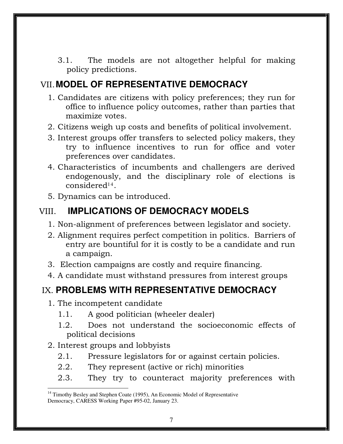3.1. The models are not altogether helpful for making policy predictions.

### VII.**MODEL OF REPRESENTATIVE DEMOCRACY**

- 1. Candidates are citizens with policy preferences; they run for office to influence policy outcomes, rather than parties that maximize votes.
- 2. Citizens weigh up costs and benefits of political involvement.
- 3. Interest groups offer transfers to selected policy makers, they try to influence incentives to run for office and voter preferences over candidates.
- 4. Characteristics of incumbents and challengers are derived endogenously, and the disciplinary role of elections is considered<sup>14</sup>.
- 5. Dynamics can be introduced.

### VIII. **IMPLICATIONS OF DEMOCRACY MODELS**

- 1. Non-alignment of preferences between legislator and society.
- 2. Alignment requires perfect competition in politics. Barriers of entry are bountiful for it is costly to be a candidate and run a campaign.
- 3. Election campaigns are costly and require financing.
- 4. A candidate must withstand pressures from interest groups

### IX. **PROBLEMS WITH REPRESENTATIVE DEMOCRACY**

- 1. The incompetent candidate
	- 1.1. A good politician (wheeler dealer)
	- 1.2. Does not understand the socioeconomic effects of political decisions
- 2. Interest groups and lobbyists

 $\overline{a}$ 

- 2.1. Pressure legislators for or against certain policies.
- 2.2. They represent (active or rich) minorities
- 2.3. They try to counteract majority preferences with

 $14$  Timothy Besley and Stephen Coate (1995), An Economic Model of Representative Democracy, CARESS Working Paper #95-02, January 23.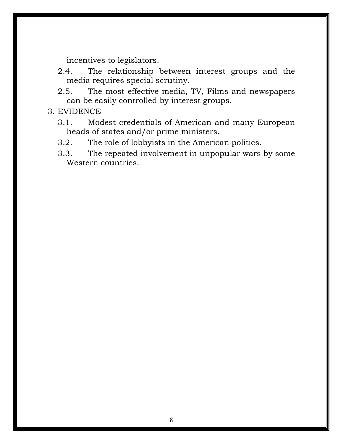incentives to legislators.

- 2.4. The relationship between interest groups and the media requires special scrutiny.
- 2.5. The most effective media, TV, Films and newspapers can be easily controlled by interest groups.

#### 3. EVIDENCE

- 3.1. Modest credentials of American and many European heads of states and/or prime ministers.
- 3.2. The role of lobbyists in the American politics.
- 3.3. The repeated involvement in unpopular wars by some Western countries.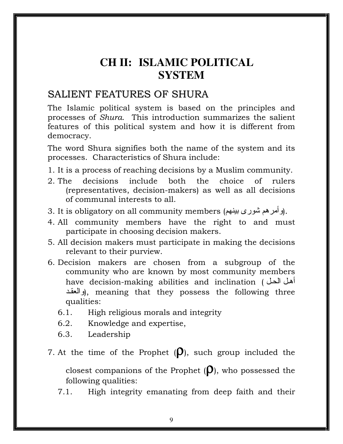# **CH II: ISLAMIC POLITICAL SYSTEM**

### SALIENT FEATURES OF SHURA

The Islamic political system is based on the principles and processes of Shura. This introduction summarizes the salient features of this political system and how it is different from democracy.

The word Shura signifies both the name of the system and its processes. Characteristics of Shura include:

- 1. It is a process of reaching decisions by a Muslim community.
- 2. The decisions include both the choice of rulers (representatives, decision-makers) as well as all decisions of communal interests to all.
- 3. It is obligatory on all community members (وأمرهم شوري بينهم).
- 4. All community members have the right to and must participate in choosing decision makers.
- 5. All decision makers must participate in making the decisions relevant to their purview.
- 6. Decision makers are chosen from a subgroup of the community who are known by most community members have decision-making abilities and inclination ( ا أه والعقد), meaning that they possess the following three qualities:
	- 6.1. High religious morals and integrity
	- 6.2. Knowledge and expertise,
	- 6.3. Leadership
- 7. At the time of the Prophet  $(\rho)$ , such group included the

closest companions of the Prophet  $(\rho)$ , who possessed the following qualities:

7.1. High integrity emanating from deep faith and their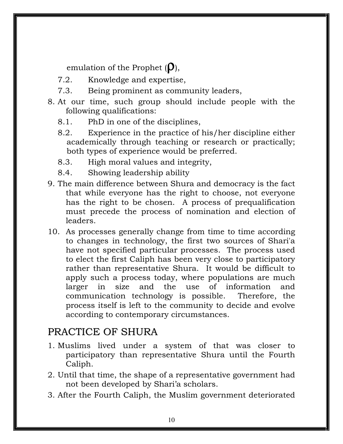emulation of the Prophet  $(D)$ ,

- 7.2. Knowledge and expertise,
- 7.3. Being prominent as community leaders,
- 8. At our time, such group should include people with the following qualifications:
	- 8.1. PhD in one of the disciplines,
	- 8.2. Experience in the practice of his/her discipline either academically through teaching or research or practically; both types of experience would be preferred.
	- 8.3. High moral values and integrity,
	- 8.4. Showing leadership ability
- 9. The main difference between Shura and democracy is the fact that while everyone has the right to choose, not everyone has the right to be chosen. A process of prequalification must precede the process of nomination and election of leaders.
- 10. As processes generally change from time to time according to changes in technology, the first two sources of Shari'a have not specified particular processes. The process used to elect the first Caliph has been very close to participatory rather than representative Shura. It would be difficult to apply such a process today, where populations are much larger in size and the use of information and communication technology is possible. Therefore, the process itself is left to the community to decide and evolve according to contemporary circumstances.

### PRACTICE OF SHURA

- 1. Muslims lived under a system of that was closer to participatory than representative Shura until the Fourth Caliph.
- 2. Until that time, the shape of a representative government had not been developed by Shari'a scholars.
- 3. After the Fourth Caliph, the Muslim government deteriorated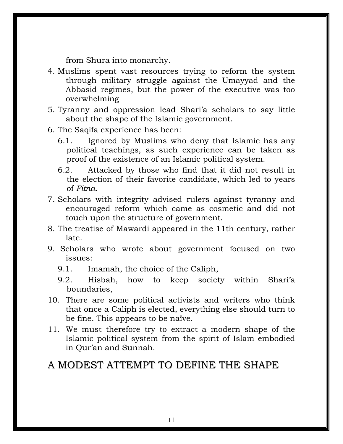from Shura into monarchy.

- 4. Muslims spent vast resources trying to reform the system through military struggle against the Umayyad and the Abbasid regimes, but the power of the executive was too overwhelming
- 5. Tyranny and oppression lead Shari'a scholars to say little about the shape of the Islamic government.
- 6. The Saqifa experience has been:
	- 6.1. Ignored by Muslims who deny that Islamic has any political teachings, as such experience can be taken as proof of the existence of an Islamic political system.
	- 6.2. Attacked by those who find that it did not result in the election of their favorite candidate, which led to years of Fitna.
- 7. Scholars with integrity advised rulers against tyranny and encouraged reform which came as cosmetic and did not touch upon the structure of government.
- 8. The treatise of Mawardi appeared in the 11th century, rather late.
- 9. Scholars who wrote about government focused on two issues:
	- 9.1. Imamah, the choice of the Caliph,
	- 9.2. Hisbah, how to keep society within Shari'a boundaries,
- 10. There are some political activists and writers who think that once a Caliph is elected, everything else should turn to be fine. This appears to be naïve.
- 11. We must therefore try to extract a modern shape of the Islamic political system from the spirit of Islam embodied in Qur'an and Sunnah.

### A MODEST ATTEMPT TO DEFINE THE SHAPE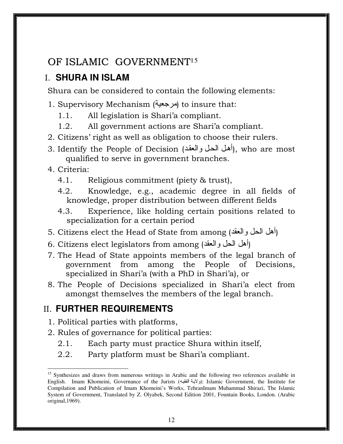### OF ISLAMIC GOVERNMENT<sup>15</sup>

### I. **SHURA IN ISLAM**

Shura can be considered to contain the following elements:

- 1. Supervisory Mechanism ( ) to insure that:
	- 1.1. All legislation is Shari'a compliant.
	- 1.2. All government actions are Shari'a compliant.
- 2. Citizens' right as well as obligation to choose their rulers.
- 3. Identify the People of Decision (أهل الحل والعقد), who are most qualified to serve in government branches.

#### 4. Criteria:

 $\overline{a}$ 

- 4.1. Religious commitment (piety & trust),
- 4.2. Knowledge, e.g., academic degree in all fields of knowledge, proper distribution between different fields
- 4.3. Experience, like holding certain positions related to specialization for a certain period
- 5. Citizens elect the Head of State from among (أهل الحل والعقد)
- 6. Citizens elect legislators from among (أهل الحل والعقد)
- 7. The Head of State appoints members of the legal branch of government from among the People of Decisions, specialized in Shari'a (with a PhD in Shari'a), or
- 8. The People of Decisions specialized in Shari'a elect from amongst themselves the members of the legal branch.

### II. **FURTHER REQUIREMENTS**

- 1. Political parties with platforms,
- 2. Rules of governance for political parties:
	- 2.1. Each party must practice Shura within itself,
	- 2.2. Party platform must be Shari'a compliant.

<sup>&</sup>lt;sup>15</sup> Synthesizes and draws from numerous writings in Arabic and the following two references available in English. Imam Khomeini, Governance of the Jurists (ولاية الفقيه): Islamic Government, the Institute for Compilation and Publication of Imam Khomeini's Works, TehranImam Muhammad Shirazi, The Islamic System of Government, Translated by Z. Olyabek, Second Edition 2001, Fountain Books, London. (Arabic original,1969).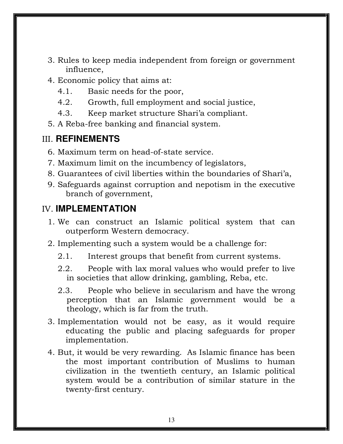- 3. Rules to keep media independent from foreign or government influence,
- 4. Economic policy that aims at:
	- 4.1. Basic needs for the poor,
	- 4.2. Growth, full employment and social justice,
	- 4.3. Keep market structure Shari'a compliant.
- 5. A Reba-free banking and financial system.

### III. **REFINEMENTS**

- 6. Maximum term on head-of-state service.
- 7. Maximum limit on the incumbency of legislators,
- 8. Guarantees of civil liberties within the boundaries of Shari'a,
- 9. Safeguards against corruption and nepotism in the executive branch of government,

### IV. **IMPLEMENTATION**

- 1. We can construct an Islamic political system that can outperform Western democracy.
- 2. Implementing such a system would be a challenge for:
	- 2.1. Interest groups that benefit from current systems.
	- 2.2. People with lax moral values who would prefer to live in societies that allow drinking, gambling, Reba, etc.
	- 2.3. People who believe in secularism and have the wrong perception that an Islamic government would be a theology, which is far from the truth.
- 3. Implementation would not be easy, as it would require educating the public and placing safeguards for proper implementation.
- 4. But, it would be very rewarding. As Islamic finance has been the most important contribution of Muslims to human civilization in the twentieth century, an Islamic political system would be a contribution of similar stature in the twenty-first century.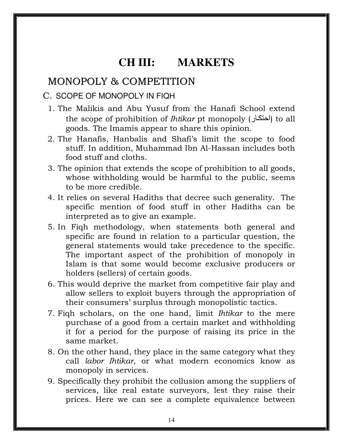## **CH III: MARKETS**

### MONOPOLY & COMPETITION

#### C. SCOPE OF MONOPOLY IN FIQH

- 1. The Malikis and Abu Yusuf from the Hanafi School extend the scope of prohibition of *Ihtikar* pt monopoly (احتكار) to all goods. The Imamis appear to share this opinion.
- 2. The Hanafis, Hanbalis and Shafi's limit the scope to food stuff. In addition, Muhammad Ibn Al-Hassan includes both food stuff and cloths.
- 3. The opinion that extends the scope of prohibition to all goods, whose withholding would be harmful to the public, seems to be more credible.
- 4. It relies on several Hadiths that decree such generality. The specific mention of food stuff in other Hadiths can be interpreted as to give an example.
- 5. In Fiqh methodology, when statements both general and specific are found in relation to a particular question, the general statements would take precedence to the specific. The important aspect of the prohibition of monopoly in Islam is that some would become exclusive producers or holders (sellers) of certain goods.
- 6. This would deprive the market from competitive fair play and allow sellers to exploit buyers through the appropriation of their consumers' surplus through monopolistic tactics.
- 7. Fiqh scholars, on the one hand, limit Ihtikar to the mere purchase of a good from a certain market and withholding it for a period for the purpose of raising its price in the same market.
- 8. On the other hand, they place in the same category what they call labor Ihtikar, or what modern economics know as monopoly in services.
- 9. Specifically they prohibit the collusion among the suppliers of services, like real estate surveyors, lest they raise their prices. Here we can see a complete equivalence between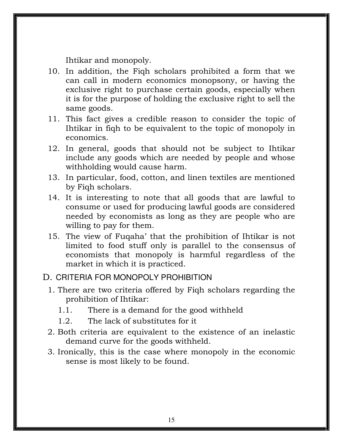Ihtikar and monopoly.

- 10. In addition, the Fiqh scholars prohibited a form that we can call in modern economics monopsony, or having the exclusive right to purchase certain goods, especially when it is for the purpose of holding the exclusive right to sell the same goods.
- 11. This fact gives a credible reason to consider the topic of Ihtikar in fiqh to be equivalent to the topic of monopoly in economics.
- 12. In general, goods that should not be subject to Ihtikar include any goods which are needed by people and whose withholding would cause harm.
- 13. In particular, food, cotton, and linen textiles are mentioned by Fiqh scholars.
- 14. It is interesting to note that all goods that are lawful to consume or used for producing lawful goods are considered needed by economists as long as they are people who are willing to pay for them.
- 15. The view of Fuqaha' that the prohibition of Ihtikar is not limited to food stuff only is parallel to the consensus of economists that monopoly is harmful regardless of the market in which it is practiced.

#### D. CRITERIA FOR MONOPOLY PROHIBITION

- 1. There are two criteria offered by Fiqh scholars regarding the prohibition of Ihtikar:
	- 1.1. There is a demand for the good withheld
	- 1.2. The lack of substitutes for it
- 2. Both criteria are equivalent to the existence of an inelastic demand curve for the goods withheld.
- 3. Ironically, this is the case where monopoly in the economic sense is most likely to be found.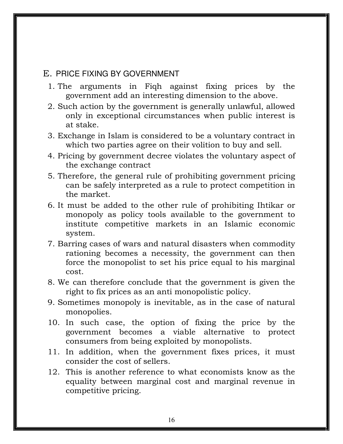#### E. PRICE FIXING BY GOVERNMENT

- 1. The arguments in Fiqh against fixing prices by the government add an interesting dimension to the above.
- 2. Such action by the government is generally unlawful, allowed only in exceptional circumstances when public interest is at stake.
- 3. Exchange in Islam is considered to be a voluntary contract in which two parties agree on their volition to buy and sell.
- 4. Pricing by government decree violates the voluntary aspect of the exchange contract
- 5. Therefore, the general rule of prohibiting government pricing can be safely interpreted as a rule to protect competition in the market.
- 6. It must be added to the other rule of prohibiting Ihtikar or monopoly as policy tools available to the government to institute competitive markets in an Islamic economic system.
- 7. Barring cases of wars and natural disasters when commodity rationing becomes a necessity, the government can then force the monopolist to set his price equal to his marginal cost.
- 8. We can therefore conclude that the government is given the right to fix prices as an anti monopolistic policy.
- 9. Sometimes monopoly is inevitable, as in the case of natural monopolies.
- 10. In such case, the option of fixing the price by the government becomes a viable alternative to protect consumers from being exploited by monopolists.
- 11. In addition, when the government fixes prices, it must consider the cost of sellers.
- 12. This is another reference to what economists know as the equality between marginal cost and marginal revenue in competitive pricing.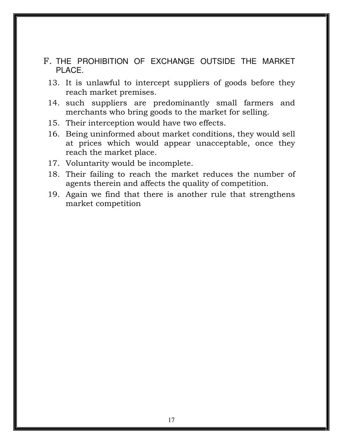- F. THE PROHIBITION OF EXCHANGE OUTSIDE THE MARKET PLACE.
	- 13. It is unlawful to intercept suppliers of goods before they reach market premises.
	- 14. such suppliers are predominantly small farmers and merchants who bring goods to the market for selling.
	- 15. Their interception would have two effects.
	- 16. Being uninformed about market conditions, they would sell at prices which would appear unacceptable, once they reach the market place.
	- 17. Voluntarity would be incomplete.
	- 18. Their failing to reach the market reduces the number of agents therein and affects the quality of competition.
	- 19. Again we find that there is another rule that strengthens market competition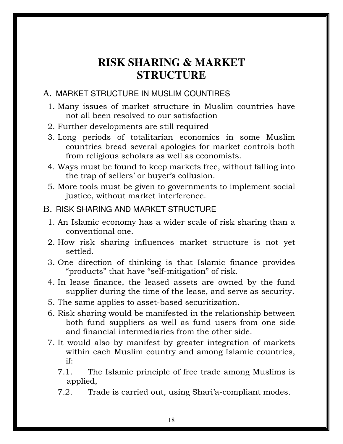# **RISK SHARING & MARKET STRUCTURE**

#### A. MARKET STRUCTURE IN MUSLIM COUNTIRES

- 1. Many issues of market structure in Muslim countries have not all been resolved to our satisfaction
- 2. Further developments are still required
- 3. Long periods of totalitarian economics in some Muslim countries bread several apologies for market controls both from religious scholars as well as economists.
- 4. Ways must be found to keep markets free, without falling into the trap of sellers' or buyer's collusion.
- 5. More tools must be given to governments to implement social justice, without market interference.

#### B. RISK SHARING AND MARKET STRUCTURE

- 1. An Islamic economy has a wider scale of risk sharing than a conventional one.
- 2. How risk sharing influences market structure is not yet settled.
- 3. One direction of thinking is that Islamic finance provides "products" that have "self-mitigation" of risk.
- 4. In lease finance, the leased assets are owned by the fund supplier during the time of the lease, and serve as security.
- 5. The same applies to asset-based securitization.
- 6. Risk sharing would be manifested in the relationship between both fund suppliers as well as fund users from one side and financial intermediaries from the other side.
- 7. It would also by manifest by greater integration of markets within each Muslim country and among Islamic countries, if:
	- 7.1. The Islamic principle of free trade among Muslims is applied,
	- 7.2. Trade is carried out, using Shari'a-compliant modes.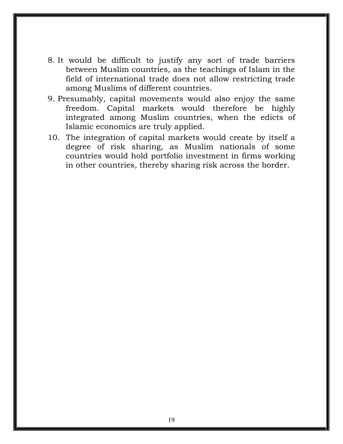- 8. It would be difficult to justify any sort of trade barriers between Muslim countries, as the teachings of Islam in the field of international trade does not allow restricting trade among Muslims of different countries.
- 9. Presumably, capital movements would also enjoy the same freedom. Capital markets would therefore be highly integrated among Muslim countries, when the edicts of Islamic economics are truly applied.
- 10. The integration of capital markets would create by itself a degree of risk sharing, as Muslim nationals of some countries would hold portfolio investment in firms working in other countries, thereby sharing risk across the border.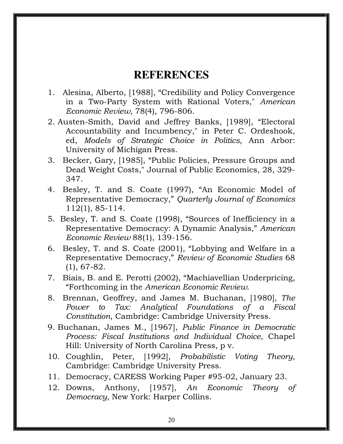### **REFERENCES**

- 1. Alesina, Alberto, [1988], "Credibility and Policy Convergence in a Two-Party System with Rational Voters," American Economic Review, 78(4), 796-806.
- 2. Austen-Smith, David and Jeffrey Banks, [1989], "Electoral Accountability and Incumbency," in Peter C. Ordeshook, ed, Models of Strategic Choice in Politics, Ann Arbor: University of Michigan Press.
- 3. Becker, Gary, [1985], "Public Policies, Pressure Groups and Dead Weight Costs," Journal of Public Economics, 28, 329- 347.
- 4. Besley, T. and S. Coate (1997), "An Economic Model of Representative Democracy," Quarterly Journal of Economics 112(1), 85-114.
- 5. Besley, T. and S. Coate (1998), "Sources of Inefficiency in a Representative Democracy: A Dynamic Analysis," American Economic Review 88(1), 139-156.
- 6. Besley, T. and S. Coate (2001), "Lobbying and Welfare in a Representative Democracy," Review of Economic Studies 68 (1), 67-82.
- 7. Biais, B. and E. Perotti (2002), "Machiavellian Underpricing, "Forthcoming in the American Economic Review.
- 8. Brennan, Geoffrey, and James M. Buchanan, [1980], The Power to Tax: Analytical Foundations of a Fiscal Constitution, Cambridge: Cambridge University Press.
- 9. Buchanan, James M., [1967], Public Finance in Democratic Process: Fiscal Institutions and Individual Choice, Chapel Hill: University of North Carolina Press, p v.
- 10. Coughlin, Peter, [1992], Probabilistic Voting Theory, Cambridge: Cambridge University Press.
- 11. Democracy, CARESS Working Paper #95-02, January 23.
- 12. Downs, Anthony, [1957], An Economic Theory of Democracy, New York: Harper Collins.